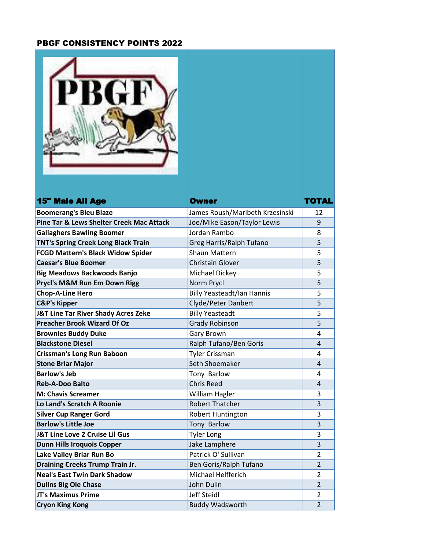## PBGF CONSISTENCY POINTS 2022

| <b>15" Male All Age</b>                  | <b>Owner</b>                      | TOTAL          |
|------------------------------------------|-----------------------------------|----------------|
| <b>Boomerang's Bleu Blaze</b>            | James Roush/Maribeth Krzesinski   | 12             |
| Pine Tar & Lews Shelter Creek Mac Attack | Joe/Mike Eason/Taylor Lewis       | 9              |
| <b>Gallaghers Bawling Boomer</b>         | Jordan Rambo                      | 8              |
| TNT's Spring Creek Long Black Train      | Greg Harris/Ralph Tufano          | 5              |
| <b>FCGD Mattern's Black Widow Spider</b> | <b>Shaun Mattern</b>              | 5              |
| <b>Caesar's Blue Boomer</b>              | <b>Christain Glover</b>           | 5              |
| <b>Big Meadows Backwoods Banjo</b>       | Michael Dickey                    | 5              |
| Prycl's M&M Run Em Down Rigg             | Norm Prycl                        | 5              |
| <b>Chop-A-Line Hero</b>                  | <b>Billy Yeasteadt/Ian Hannis</b> | 5              |
| <b>C&amp;P's Kipper</b>                  | Clyde/Peter Danbert               | 5              |
| J&T Line Tar River Shady Acres Zeke      | <b>Billy Yeasteadt</b>            | 5              |
| <b>Preacher Brook Wizard Of Oz</b>       | <b>Grady Robinson</b>             | 5              |
| <b>Brownies Buddy Duke</b>               | Gary Brown                        | 4              |
| <b>Blackstone Diesel</b>                 | Ralph Tufano/Ben Goris            | 4              |
| <b>Crissman's Long Run Baboon</b>        | Tyler Crissman                    | 4              |
| <b>Stone Briar Major</b>                 | Seth Shoemaker                    | 4              |
| <b>Barlow's Jeb</b>                      | Tony Barlow                       | 4              |
| <b>Reb-A-Doo Balto</b>                   | <b>Chris Reed</b>                 | 4              |
| <b>M: Chavis Screamer</b>                | William Hagler                    | 3              |
| Lo Land's Scratch A Roonie               | <b>Robert Thatcher</b>            | 3              |
| <b>Silver Cup Ranger Gord</b>            | Robert Huntington                 | 3              |
| <b>Barlow's Little Joe</b>               | Tony Barlow                       | 3              |
| J&T Line Love 2 Cruise Lil Gus           | <b>Tyler Long</b>                 | 3              |
| <b>Dunn Hills Iroquois Copper</b>        | Jake Lamphere                     | 3              |
| Lake Valley Briar Run Bo                 | Patrick O' Sullivan               | $\overline{2}$ |
| <b>Draining Creeks Trump Train Jr.</b>   | Ben Goris/Ralph Tufano            | $\overline{2}$ |
| <b>Neal's East Twin Dark Shadow</b>      | Michael Helfferich                | 2              |
| <b>Dulins Big Ole Chase</b>              | John Dulin                        | $\overline{2}$ |
| <b>JT's Maximus Prime</b>                | Jeff Steidl                       | 2              |
| <b>Cryon King Kong</b>                   | <b>Buddy Wadsworth</b>            | $\overline{2}$ |